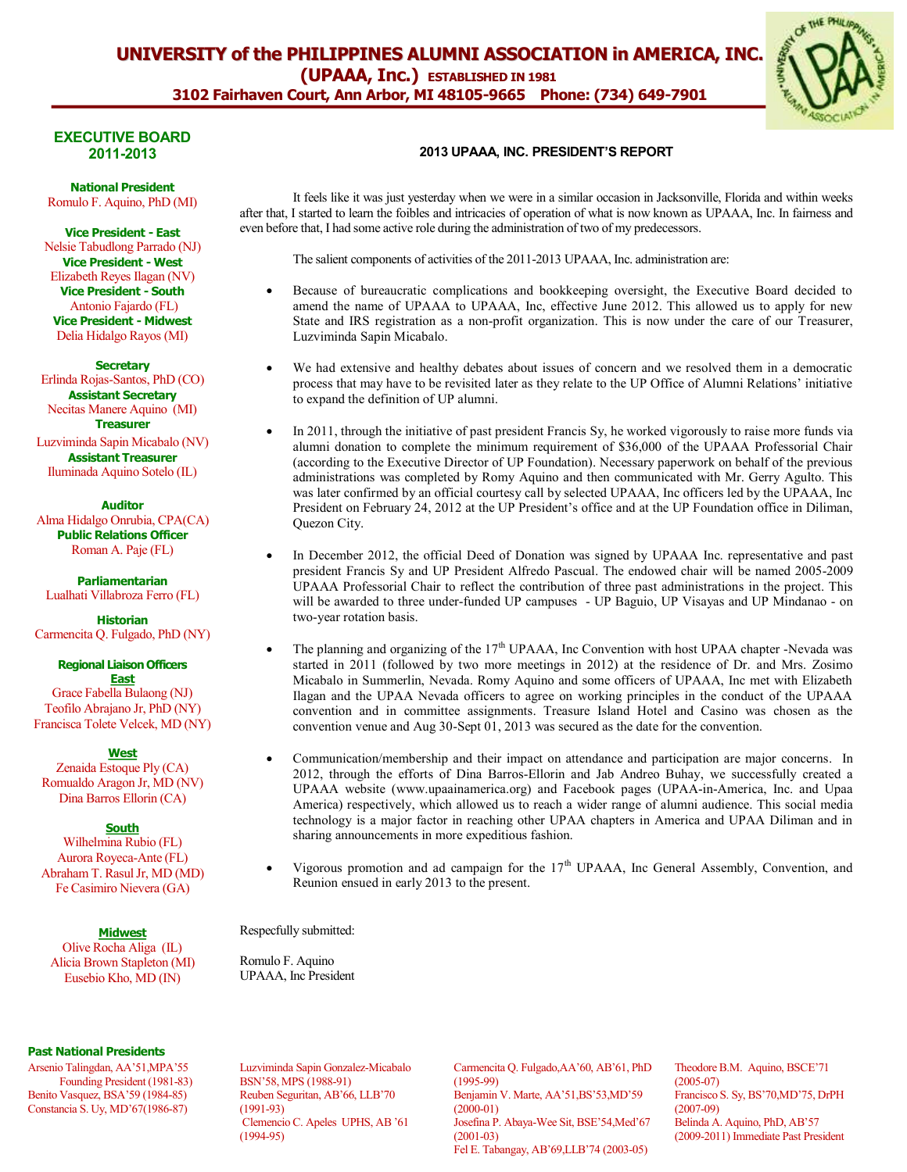

# **EXECUTIVE BOARD**

**National President**

Romulo F. Aquino, PhD (MI)

**Vice President - East** Nelsie Tabudlong Parrado (NJ) **Vice President - West** Elizabeth Reyes Ilagan (NV) **Vice President - South** Antonio Fajardo (FL) **Vice President - Midwest** Delia Hidalgo Rayos (MI)

**Secretary** Erlinda Rojas-Santos, PhD (CO) **Assistant Secretary** Necitas Manere Aquino (MI) **Treasurer**

Luzviminda Sapin Micabalo (NV) **Assistant Treasurer** Iluminada Aquino Sotelo (IL)

**Auditor** Alma Hidalgo Onrubia, CPA(CA) **Public Relations Officer** Roman A. Paje (FL)

**Parliamentarian** Lualhati Villabroza Ferro (FL)

**Historian** Carmencita Q. Fulgado, PhD (NY)

#### **Regional Liaison Officers East**

Grace Fabella Bulaong (NJ) Teofilo Abrajano Jr, PhD (NY) Francisca Tolete Velcek, MD (NY)

**West** Zenaida Estoque Ply (CA) Romualdo Aragon Jr, MD (NV) Dina Barros Ellorin (CA)

**South** Wilhelmina Rubio (FL) Aurora Royeca-Ante (FL) Abraham T. Rasul Jr, MD (MD) Fe Casimiro Nievera (GA)

**Midwest** Olive Rocha Aliga (IL) Alicia Brown Stapleton (MI) Eusebio Kho, MD (IN)

#### **Past National Presidents**

Arsenio Talingdan, AA'51,MPA'55 Founding President (1981-83) Benito Vasquez, BSA'59 (1984-85) Constancia S. Uy, MD'67(1986-87)

#### **2011-2013 2013 UPAAA, INC. PRESIDENT'S REPORT**

It feels like it was just yesterday when we were in a similar occasion in Jacksonville, Florida and within weeks after that, I started to learn the foibles and intricacies of operation of what is now known as UPAAA, Inc. In fairness and even before that, I had some active role during the administration of two of my predecessors.

The salient components of activities of the 2011-2013 UPAAA, Inc. administration are:

- Because of bureaucratic complications and bookkeeping oversight, the Executive Board decided to amend the name of UPAAA to UPAAA, Inc, effective June 2012. This allowed us to apply for new State and IRS registration as a non-profit organization. This is now under the care of our Treasurer, Luzviminda Sapin Micabalo.
- We had extensive and healthy debates about issues of concern and we resolved them in a democratic process that may have to be revisited later as they relate to the UP Office of Alumni Relations' initiative to expand the definition of UP alumni.
- In 2011, through the initiative of past president Francis Sy, he worked vigorously to raise more funds via alumni donation to complete the minimum requirement of \$36,000 of the UPAAA Professorial Chair (according to the Executive Director of UP Foundation). Necessary paperwork on behalf of the previous administrations was completed by Romy Aquino and then communicated with Mr. Gerry Agulto. This was later confirmed by an official courtesy call by selected UPAAA, Inc officers led by the UPAAA, Inc President on February 24, 2012 at the UP President's office and at the UP Foundation office in Diliman, Quezon City.
- In December 2012, the official Deed of Donation was signed by UPAAA Inc. representative and past president Francis Sy and UP President Alfredo Pascual. The endowed chair will be named 2005-2009 UPAAA Professorial Chair to reflect the contribution of three past administrations in the project. This will be awarded to three under-funded UP campuses - UP Baguio, UP Visayas and UP Mindanao - on two-year rotation basis.
- The planning and organizing of the 17<sup>th</sup> UPAAA, Inc Convention with host UPAA chapter -Nevada was started in 2011 (followed by two more meetings in 2012) at the residence of Dr. and Mrs. Zosimo Micabalo in Summerlin, Nevada. Romy Aquino and some officers of UPAAA, Inc met with Elizabeth Ilagan and the UPAA Nevada officers to agree on working principles in the conduct of the UPAAA convention and in committee assignments. Treasure Island Hotel and Casino was chosen as the convention venue and Aug 30-Sept 01, 2013 was secured as the date for the convention.
- Communication/membership and their impact on attendance and participation are major concerns. In 2012, through the efforts of Dina Barros-Ellorin and Jab Andreo Buhay, we successfully created a UPAAA website (www.upaainamerica.org) and Facebook pages (UPAA-in-America, Inc. and Upaa America) respectively, which allowed us to reach a wider range of alumni audience. This social media technology is a major factor in reaching other UPAA chapters in America and UPAA Diliman and in sharing announcements in more expeditious fashion.
- Vigorous promotion and ad campaign for the 17<sup>th</sup> UPAAA, Inc General Assembly, Convention, and Reunion ensued in early 2013 to the present.

Respecfully submitted:

Romulo F. Aquino UPAAA, Inc President

Luzviminda Sapin Gonzalez-Micabalo BSN'58, MPS (1988-91) Reuben Seguritan, AB'66, LLB'70 (1991-93) Clemencio C. Apeles UPHS, AB '61 (1994-95)

Carmencita Q. Fulgado,AA'60, AB'61, PhD (1995-99) Benjamin V. Marte, AA'51,BS'53,MD'59 (2000-01) Josefina P. Abaya-Wee Sit, BSE'54,Med'67 (2001-03) Fel E. Tabangay, AB'69,LLB'74 (2003-05)

Theodore B.M. Aquino, BSCE'71 (2005-07) Francisco S. Sy, BS'70,MD'75, DrPH (2007-09) Belinda A. Aquino, PhD, AB'57 (2009-2011) Immediate Past President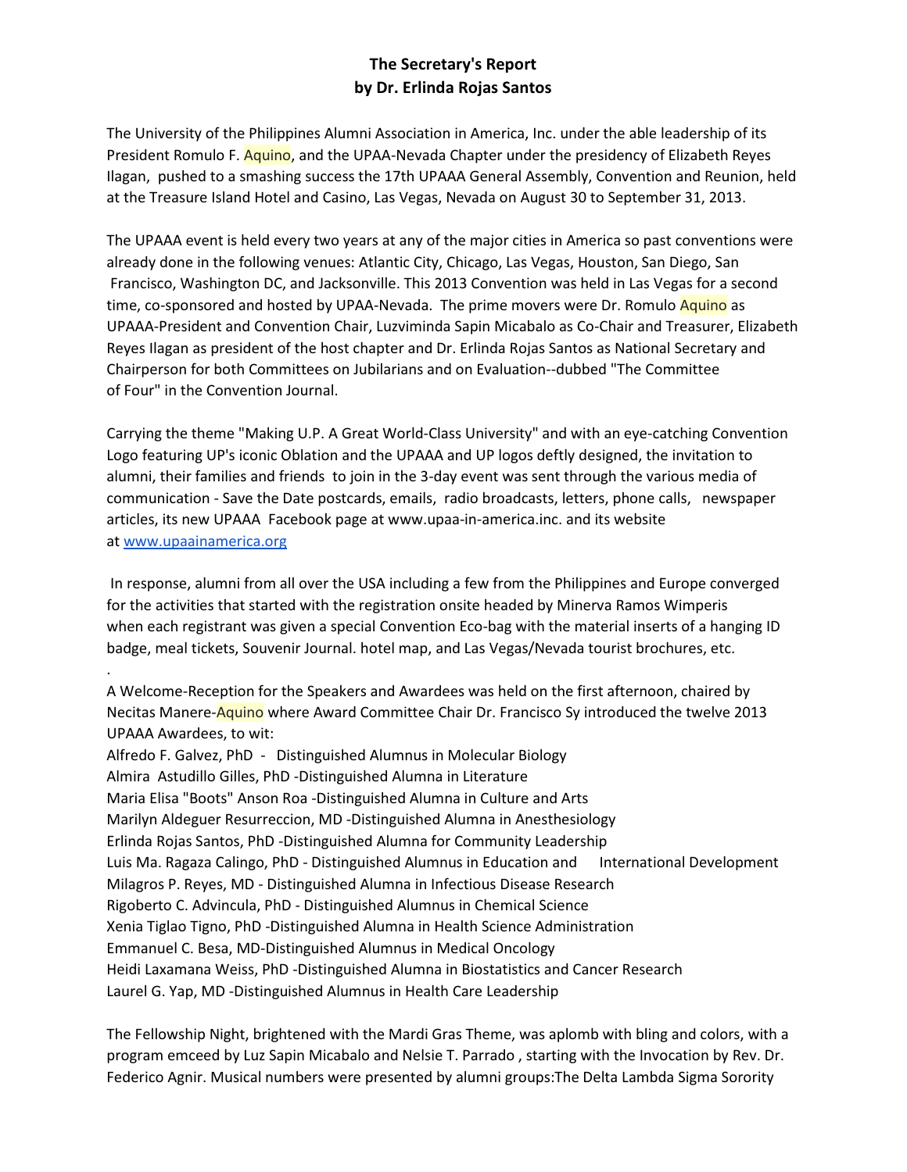## The Secretary's Report by Dr. Erlinda Rojas Santos

The University of the Philippines Alumni Association in America, Inc. under the able leadership of its President Romulo F. Aguino, and the UPAA-Nevada Chapter under the presidency of Elizabeth Reyes Ilagan, pushed to a smashing success the 17th UPAAA General Assembly, Convention and Reunion, held at the Treasure Island Hotel and Casino, Las Vegas, Nevada on August 30 to September 31, 2013.

The UPAAA event is held every two years at any of the major cities in America so past conventions were already done in the following venues: Atlantic City, Chicago, Las Vegas, Houston, San Diego, San Francisco, Washington DC, and Jacksonville. This 2013 Convention was held in Las Vegas for a second time, co-sponsored and hosted by UPAA-Nevada. The prime movers were Dr. Romulo Aquino as UPAAA-President and Convention Chair, Luzviminda Sapin Micabalo as Co-Chair and Treasurer, Elizabeth Reyes Ilagan as president of the host chapter and Dr. Erlinda Rojas Santos as National Secretary and Chairperson for both Committees on Jubilarians and on Evaluation--dubbed "The Committee of Four" in the Convention Journal.

Carrying the theme "Making U.P. A Great World-Class University" and with an eye-catching Convention Logo featuring UP's iconic Oblation and the UPAAA and UP logos deftly designed, the invitation to alumni, their families and friends to join in the 3-day event was sent through the various media of communication - Save the Date postcards, emails, radio broadcasts, letters, phone calls, newspaper articles, its new UPAAA Facebook page at www.upaa-in-america.inc. and its website at www.upaainamerica.org

In response, alumni from all over the USA including a few from the Philippines and Europe converged for the activities that started with the registration onsite headed by Minerva Ramos Wimperis when each registrant was given a special Convention Eco-bag with the material inserts of a hanging ID badge, meal tickets, Souvenir Journal. hotel map, and Las Vegas/Nevada tourist brochures, etc.

A Welcome-Reception for the Speakers and Awardees was held on the first afternoon, chaired by Necitas Manere-Aquino where Award Committee Chair Dr. Francisco Sy introduced the twelve 2013 **UPAAA Awardees, to wit:** 

Alfredo F. Galvez, PhD - Distinguished Alumnus in Molecular Biology Almira Astudillo Gilles, PhD -Distinguished Alumna in Literature Maria Elisa "Boots" Anson Roa -Distinguished Alumna in Culture and Arts Marilyn Aldeguer Resurreccion, MD -Distinguished Alumna in Anesthesiology Erlinda Rojas Santos, PhD -Distinguished Alumna for Community Leadership Luis Ma. Ragaza Calingo, PhD - Distinguished Alumnus in Education and International Development Milagros P. Reyes, MD - Distinguished Alumna in Infectious Disease Research Rigoberto C. Advincula, PhD - Distinguished Alumnus in Chemical Science Xenia Tiglao Tigno, PhD -Distinguished Alumna in Health Science Administration Emmanuel C. Besa, MD-Distinguished Alumnus in Medical Oncology Heidi Laxamana Weiss, PhD -Distinguished Alumna in Biostatistics and Cancer Research Laurel G. Yap, MD -Distinguished Alumnus in Health Care Leadership

The Fellowship Night, brightened with the Mardi Gras Theme, was aplomb with bling and colors, with a program emceed by Luz Sapin Micabalo and Nelsie T. Parrado, starting with the Invocation by Rev. Dr. Federico Agnir. Musical numbers were presented by alumni groups: The Delta Lambda Sigma Sorority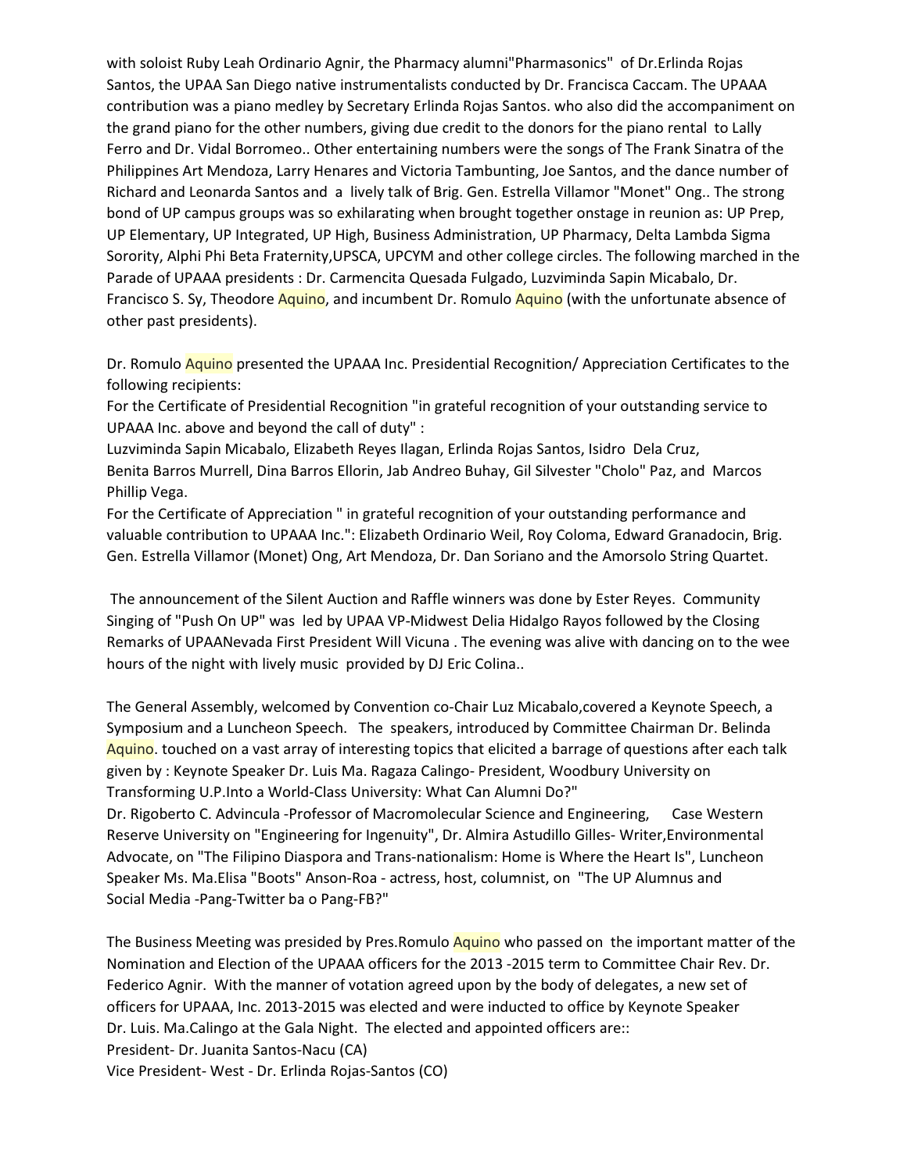with soloist Ruby Leah Ordinario Agnir, the Pharmacy alumni"Pharmasonics" of Dr. Erlinda Rojas Santos, the UPAA San Diego native instrumentalists conducted by Dr. Francisca Caccam. The UPAAA contribution was a piano medley by Secretary Erlinda Rojas Santos. who also did the accompaniment on the grand piano for the other numbers, giving due credit to the donors for the piano rental to Lally Ferro and Dr. Vidal Borromeo.. Other entertaining numbers were the songs of The Frank Sinatra of the Philippines Art Mendoza, Larry Henares and Victoria Tambunting, Joe Santos, and the dance number of Richard and Leonarda Santos and a lively talk of Brig. Gen. Estrella Villamor "Monet" Ong.. The strong bond of UP campus groups was so exhilarating when brought together onstage in reunion as: UP Prep, UP Elementary, UP Integrated, UP High, Business Administration, UP Pharmacy, Delta Lambda Sigma Sorority, Alphi Phi Beta Fraternity, UPSCA, UPCYM and other college circles. The following marched in the Parade of UPAAA presidents : Dr. Carmencita Quesada Fulgado, Luzviminda Sapin Micabalo, Dr. Francisco S. Sy, Theodore Aquino, and incumbent Dr. Romulo Aquino (with the unfortunate absence of other past presidents).

Dr. Romulo Aquino presented the UPAAA Inc. Presidential Recognition/ Appreciation Certificates to the following recipients:

For the Certificate of Presidential Recognition "in grateful recognition of your outstanding service to UPAAA Inc. above and beyond the call of duty" :

Luzviminda Sapin Micabalo, Elizabeth Reyes Ilagan, Erlinda Rojas Santos, Isidro Dela Cruz, Benita Barros Murrell, Dina Barros Ellorin, Jab Andreo Buhay, Gil Silvester "Cholo" Paz, and Marcos Phillip Vega.

For the Certificate of Appreciation " in grateful recognition of your outstanding performance and valuable contribution to UPAAA Inc.": Elizabeth Ordinario Weil, Roy Coloma, Edward Granadocin, Brig. Gen. Estrella Villamor (Monet) Ong, Art Mendoza, Dr. Dan Soriano and the Amorsolo String Quartet.

The announcement of the Silent Auction and Raffle winners was done by Ester Reyes. Community Singing of "Push On UP" was led by UPAA VP-Midwest Delia Hidalgo Rayos followed by the Closing Remarks of UPAANevada First President Will Vicuna . The evening was alive with dancing on to the wee hours of the night with lively music provided by DJ Eric Colina..

The General Assembly, welcomed by Convention co-Chair Luz Micabalo, covered a Keynote Speech, a Symposium and a Luncheon Speech. The speakers, introduced by Committee Chairman Dr. Belinda Aguino, touched on a vast array of interesting topics that elicited a barrage of questions after each talk given by: Keynote Speaker Dr. Luis Ma. Ragaza Calingo- President, Woodbury University on Transforming U.P.Into a World-Class University: What Can Alumni Do?"

Dr. Rigoberto C. Advincula -Professor of Macromolecular Science and Engineering, Case Western Reserve University on "Engineering for Ingenuity", Dr. Almira Astudillo Gilles- Writer, Environmental Advocate, on "The Filipino Diaspora and Trans-nationalism: Home is Where the Heart Is", Luncheon Speaker Ms. Ma.Elisa "Boots" Anson-Roa - actress, host, columnist, on "The UP Alumnus and Social Media - Pang-Twitter ba o Pang-FB?"

The Business Meeting was presided by Pres. Romulo Aquino who passed on the important matter of the Nomination and Election of the UPAAA officers for the 2013 -2015 term to Committee Chair Rev. Dr. Federico Agnir. With the manner of votation agreed upon by the body of delegates, a new set of officers for UPAAA, Inc. 2013-2015 was elected and were inducted to office by Keynote Speaker Dr. Luis. Ma. Calingo at the Gala Night. The elected and appointed officers are:: President- Dr. Juanita Santos-Nacu (CA)

Vice President-West - Dr. Erlinda Rojas-Santos (CO)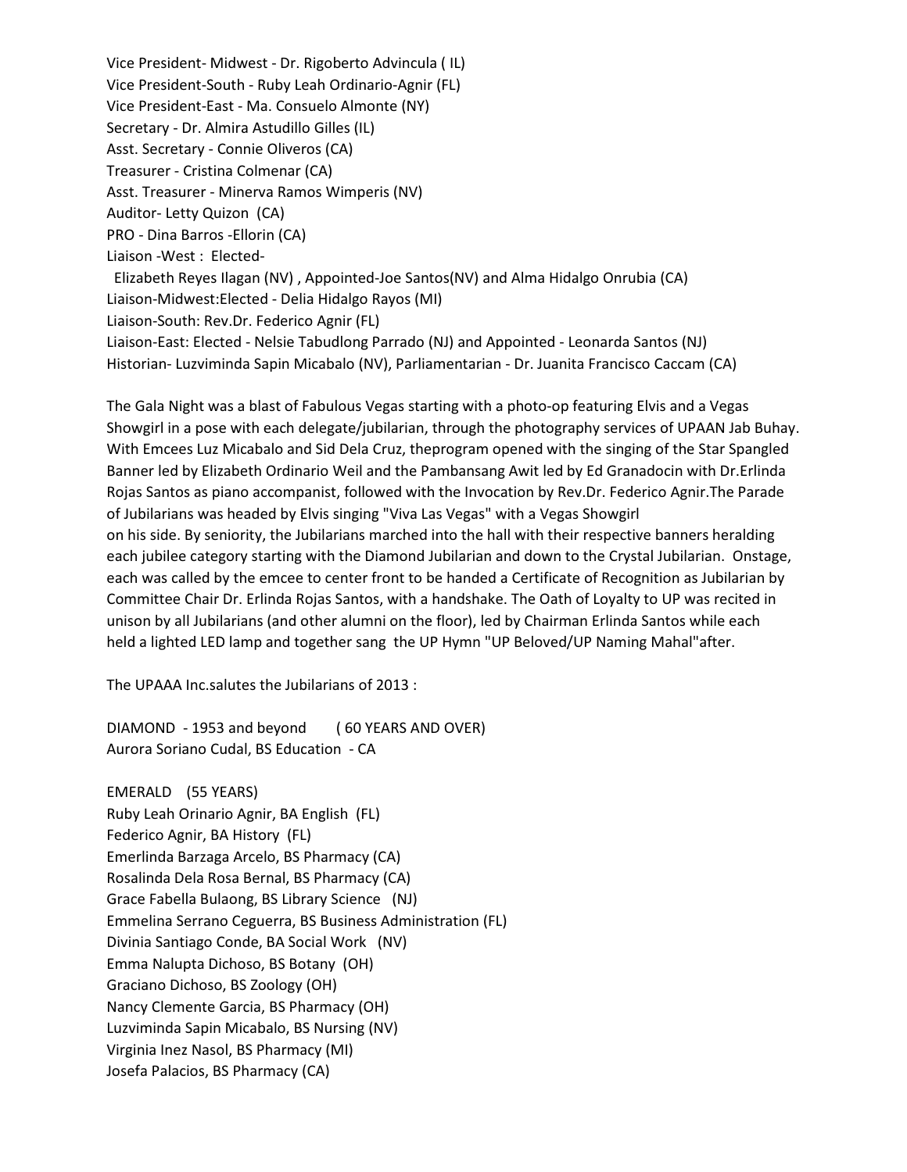Vice President-Midwest - Dr. Rigoberto Advincula (IL) Vice President-South - Ruby Leah Ordinario-Agnir (FL) Vice President-East - Ma. Consuelo Almonte (NY) Secretary - Dr. Almira Astudillo Gilles (IL) Asst. Secretary - Connie Oliveros (CA) Treasurer - Cristina Colmenar (CA) Asst. Treasurer - Minerva Ramos Wimperis (NV) Auditor-Letty Quizon (CA) PRO - Dina Barros - Ellorin (CA) Liaison - West: Elected-Elizabeth Reyes Ilagan (NV), Appointed-Joe Santos(NV) and Alma Hidalgo Onrubia (CA) Liaison-Midwest: Elected - Delia Hidalgo Rayos (MI) Liaison-South: Rev.Dr. Federico Agnir (FL) Liaison-East: Elected - Nelsie Tabudlong Parrado (NJ) and Appointed - Leonarda Santos (NJ) Historian- Luzviminda Sapin Micabalo (NV), Parliamentarian - Dr. Juanita Francisco Caccam (CA)

The Gala Night was a blast of Fabulous Vegas starting with a photo-op featuring Elvis and a Vegas Showgirl in a pose with each delegate/jubilarian, through the photography services of UPAAN Jab Buhay. With Emcees Luz Micabalo and Sid Dela Cruz, theprogram opened with the singing of the Star Spangled Banner led by Elizabeth Ordinario Weil and the Pambansang Awit led by Ed Granadocin with Dr. Erlinda Rojas Santos as piano accompanist, followed with the Invocation by Rev.Dr. Federico Agnir. The Parade of Jubilarians was headed by Elvis singing "Viva Las Vegas" with a Vegas Showgirl on his side. By seniority, the Jubilarians marched into the hall with their respective banners heralding each jubilee category starting with the Diamond Jubilarian and down to the Crystal Jubilarian. Onstage, each was called by the emcee to center front to be handed a Certificate of Recognition as Jubilarian by Committee Chair Dr. Erlinda Rojas Santos, with a handshake. The Oath of Loyalty to UP was recited in unison by all Jubilarians (and other alumni on the floor), led by Chairman Erlinda Santos while each held a lighted LED lamp and together sang the UP Hymn "UP Beloved/UP Naming Mahal"after.

The UPAAA Inc.salutes the Jubilarians of 2013:

DIAMOND - 1953 and beyond (60 YEARS AND OVER) Aurora Soriano Cudal, BS Education - CA

EMERALD (55 YEARS) Ruby Leah Orinario Agnir, BA English (FL) Federico Agnir, BA History (FL) Emerlinda Barzaga Arcelo, BS Pharmacy (CA) Rosalinda Dela Rosa Bernal, BS Pharmacy (CA) Grace Fabella Bulaong, BS Library Science (NJ) Emmelina Serrano Ceguerra, BS Business Administration (FL) Divinia Santiago Conde, BA Social Work (NV) Emma Nalupta Dichoso, BS Botany (OH) Graciano Dichoso, BS Zoology (OH) Nancy Clemente Garcia, BS Pharmacy (OH) Luzviminda Sapin Micabalo, BS Nursing (NV) Virginia Inez Nasol, BS Pharmacy (MI) Josefa Palacios, BS Pharmacy (CA)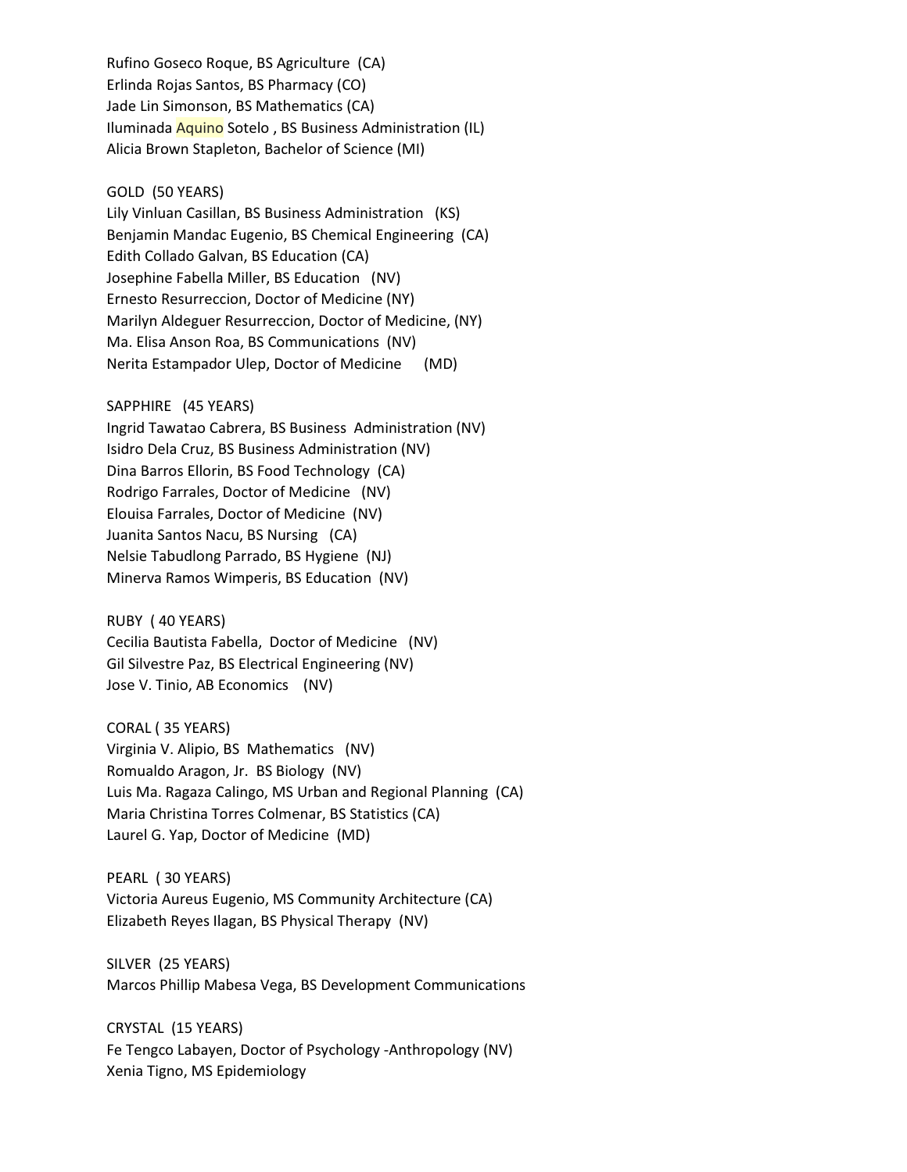Rufino Goseco Roque, BS Agriculture (CA) Erlinda Rojas Santos, BS Pharmacy (CO) Jade Lin Simonson, BS Mathematics (CA) Iluminada Aquino Sotelo, BS Business Administration (IL) Alicia Brown Stapleton, Bachelor of Science (MI)

### GOLD (50 YEARS)

Lily Vinluan Casillan, BS Business Administration (KS) Benjamin Mandac Eugenio, BS Chemical Engineering (CA) Edith Collado Galvan, BS Education (CA) Josephine Fabella Miller, BS Education (NV) Ernesto Resurreccion, Doctor of Medicine (NY) Marilyn Aldeguer Resurreccion, Doctor of Medicine, (NY) Ma. Elisa Anson Roa, BS Communications (NV) Nerita Estampador Ulep, Doctor of Medicine (MD)

#### SAPPHIRE (45 YEARS)

Ingrid Tawatao Cabrera, BS Business Administration (NV) Isidro Dela Cruz, BS Business Administration (NV) Dina Barros Ellorin, BS Food Technology (CA) Rodrigo Farrales, Doctor of Medicine (NV) Elouisa Farrales, Doctor of Medicine (NV) Juanita Santos Nacu, BS Nursing (CA) Nelsie Tabudlong Parrado, BS Hygiene (NJ) Minerva Ramos Wimperis, BS Education (NV)

RUBY (40 YEARS)

Cecilia Bautista Fabella, Doctor of Medicine (NV) Gil Silvestre Paz, BS Electrical Engineering (NV) Jose V. Tinio, AB Economics (NV)

CORAL (35 YEARS) Virginia V. Alipio, BS Mathematics (NV) Romualdo Aragon, Jr. BS Biology (NV) Luis Ma. Ragaza Calingo, MS Urban and Regional Planning (CA) Maria Christina Torres Colmenar, BS Statistics (CA) Laurel G. Yap, Doctor of Medicine (MD)

PEARL (30 YEARS) Victoria Aureus Eugenio, MS Community Architecture (CA) Elizabeth Reyes Ilagan, BS Physical Therapy (NV)

SILVER (25 YEARS) Marcos Phillip Mabesa Vega, BS Development Communications

CRYSTAL (15 YEARS) Fe Tengco Labayen, Doctor of Psychology -Anthropology (NV) Xenia Tigno, MS Epidemiology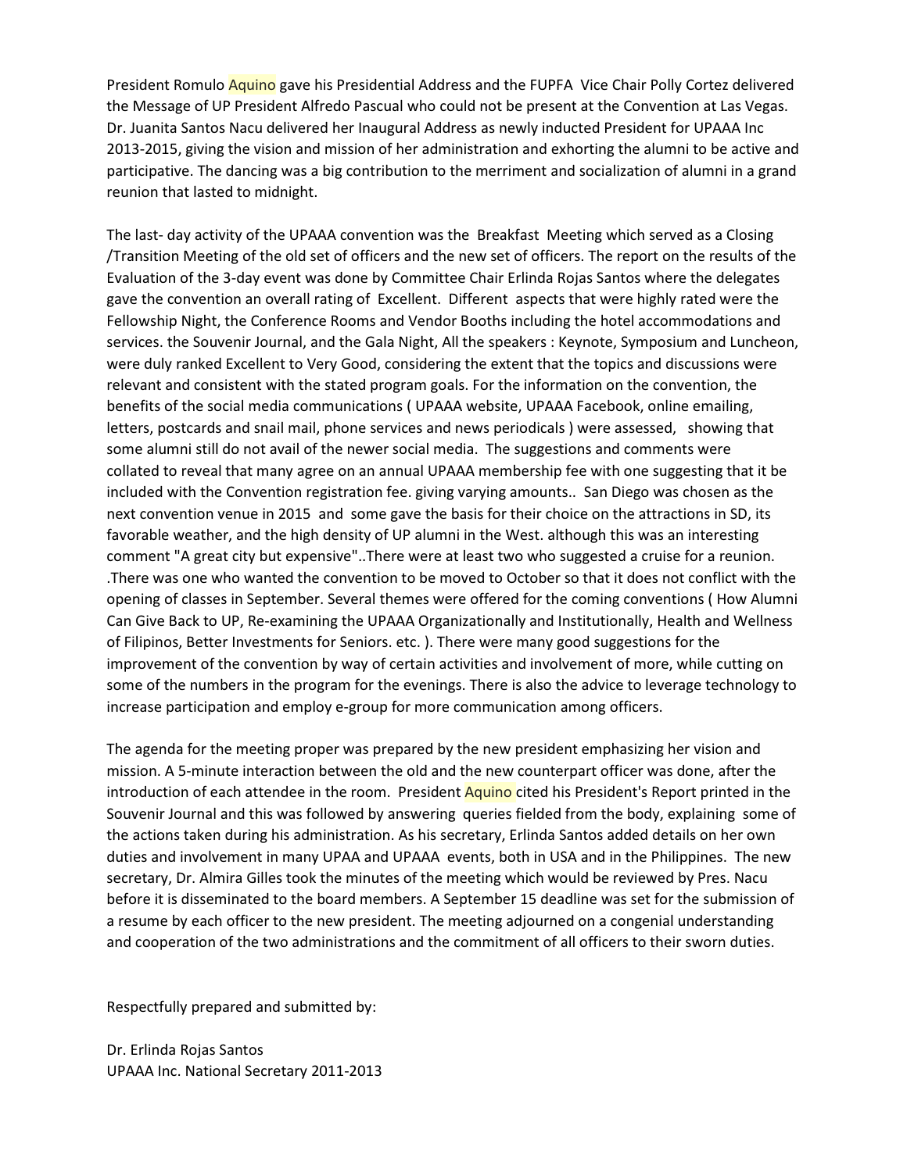President Romulo Aquino gave his Presidential Address and the FUPFA Vice Chair Polly Cortez delivered the Message of UP President Alfredo Pascual who could not be present at the Convention at Las Vegas. Dr. Juanita Santos Nacu delivered her Inaugural Address as newly inducted President for UPAAA Inc 2013-2015, giving the vision and mission of her administration and exhorting the alumni to be active and participative. The dancing was a big contribution to the merriment and socialization of alumni in a grand reunion that lasted to midnight.

The last-day activity of the UPAAA convention was the Breakfast Meeting which served as a Closing Transition Meeting of the old set of officers and the new set of officers. The report on the results of the Evaluation of the 3-day event was done by Committee Chair Erlinda Rojas Santos where the delegates gave the convention an overall rating of Excellent. Different aspects that were highly rated were the Fellowship Night, the Conference Rooms and Vendor Booths including the hotel accommodations and services. the Souvenir Journal, and the Gala Night, All the speakers : Keynote, Symposium and Luncheon, were duly ranked Excellent to Very Good, considering the extent that the topics and discussions were relevant and consistent with the stated program goals. For the information on the convention, the benefits of the social media communications (UPAAA website, UPAAA Facebook, online emailing, letters, postcards and snail mail, phone services and news periodicals) were assessed, showing that some alumni still do not avail of the newer social media. The suggestions and comments were collated to reveal that many agree on an annual UPAAA membership fee with one suggesting that it be included with the Convention registration fee. giving varying amounts.. San Diego was chosen as the next convention venue in 2015 and some gave the basis for their choice on the attractions in SD, its favorable weather, and the high density of UP alumni in the West. although this was an interesting comment "A great city but expensive"..There were at least two who suggested a cruise for a reunion. There was one who wanted the convention to be moved to October so that it does not conflict with the opening of classes in September. Several themes were offered for the coming conventions (How Alumni Can Give Back to UP, Re-examining the UPAAA Organizationally and Institutionally, Health and Wellness of Filipinos, Better Investments for Seniors. etc.). There were many good suggestions for the improvement of the convention by way of certain activities and involvement of more, while cutting on some of the numbers in the program for the evenings. There is also the advice to leverage technology to increase participation and employ e-group for more communication among officers.

The agenda for the meeting proper was prepared by the new president emphasizing her vision and mission. A 5-minute interaction between the old and the new counterpart officer was done, after the introduction of each attendee in the room. President Aquino cited his President's Report printed in the Souvenir Journal and this was followed by answering queries fielded from the body, explaining some of the actions taken during his administration. As his secretary, Erlinda Santos added details on her own duties and involvement in many UPAA and UPAAA events, both in USA and in the Philippines. The new secretary, Dr. Almira Gilles took the minutes of the meeting which would be reviewed by Pres. Nacu before it is disseminated to the board members. A September 15 deadline was set for the submission of a resume by each officer to the new president. The meeting adjourned on a congenial understanding and cooperation of the two administrations and the commitment of all officers to their sworn duties.

Respectfully prepared and submitted by:

Dr. Erlinda Rojas Santos UPAAA Inc. National Secretary 2011-2013